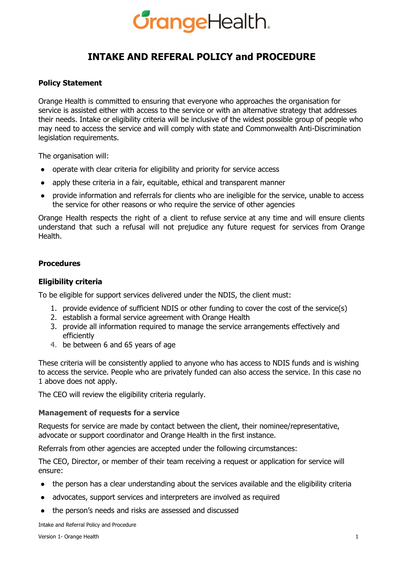### **GrangeHealth.**

### **INTAKE AND REFERAL POLICY and PROCEDURE**

#### **Policy Statement**

Orange Health is committed to ensuring that everyone who approaches the organisation for service is assisted either with access to the service or with an alternative strategy that addresses their needs. Intake or eligibility criteria will be inclusive of the widest possible group of people who may need to access the service and will comply with state and Commonwealth Anti-Discrimination legislation requirements.

The organisation will:

- operate with clear criteria for eligibility and priority for service access
- apply these criteria in a fair, equitable, ethical and transparent manner
- provide information and referrals for clients who are ineligible for the service, unable to access the service for other reasons or who require the service of other agencies

Orange Health respects the right of a client to refuse service at any time and will ensure clients understand that such a refusal will not prejudice any future request for services from Orange Health.

#### **Procedures**

#### **Eligibility criteria**

To be eligible for support services delivered under the NDIS, the client must:

- 1. provide evidence of sufficient NDIS or other funding to cover the cost of the service(s)
- 2. establish a formal service agreement with Orange Health
- 3. provide all information required to manage the service arrangements effectively and efficiently
- 4. be between 6 and 65 years of age

These criteria will be consistently applied to anyone who has access to NDIS funds and is wishing to access the service. People who are privately funded can also access the service. In this case no 1 above does not apply.

The CEO will review the eligibility criteria regularly.

#### **Management of requests for a service**

Requests for service are made by contact between the client, their nominee/representative, advocate or support coordinator and Orange Health in the first instance.

Referrals from other agencies are accepted under the following circumstances:

The CEO, Director, or member of their team receiving a request or application for service will ensure:

- the person has a clear understanding about the services available and the eligibility criteria
- advocates, support services and interpreters are involved as required
- the person's needs and risks are assessed and discussed

Intake and Referral Policy and Procedure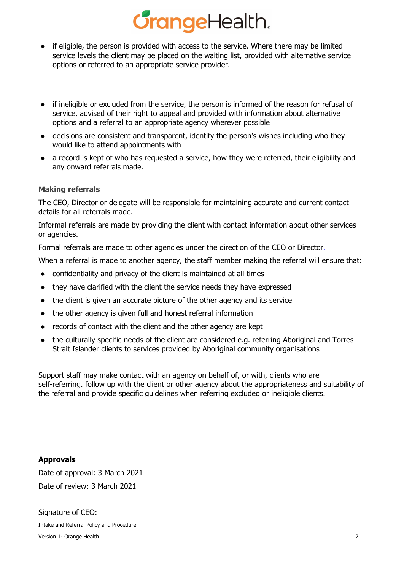## *<u>GrangeHealth.</u>*

- if eligible, the person is provided with access to the service. Where there may be limited service levels the client may be placed on the waiting list, provided with alternative service options or referred to an appropriate service provider.
- if ineligible or excluded from the service, the person is informed of the reason for refusal of service, advised of their right to appeal and provided with information about alternative options and a referral to an appropriate agency wherever possible
- decisions are consistent and transparent, identify the person's wishes including who they would like to attend appointments with
- a record is kept of who has requested a service, how they were referred, their eligibility and any onward referrals made.

#### **Making referrals**

The CEO, Director or delegate will be responsible for maintaining accurate and current contact details for all referrals made.

Informal referrals are made by providing the client with contact information about other services or agencies.

Formal referrals are made to other agencies under the direction of the CEO or Director.

When a referral is made to another agency, the staff member making the referral will ensure that:

- confidentiality and privacy of the client is maintained at all times
- they have clarified with the client the service needs they have expressed
- the client is given an accurate picture of the other agency and its service
- the other agency is given full and honest referral information
- records of contact with the client and the other agency are kept
- the culturally specific needs of the client are considered e.g. referring Aboriginal and Torres Strait Islander clients to services provided by Aboriginal community organisations

Support staff may make contact with an agency on behalf of, or with, clients who are self-referring. follow up with the client or other agency about the appropriateness and suitability of the referral and provide specific guidelines when referring excluded or ineligible clients.

**Approvals** Date of approval: 3 March 2021 Date of review: 3 March 2021

Signature of CEO: Intake and Referral Policy and Procedure Version 1- Orange Health 2